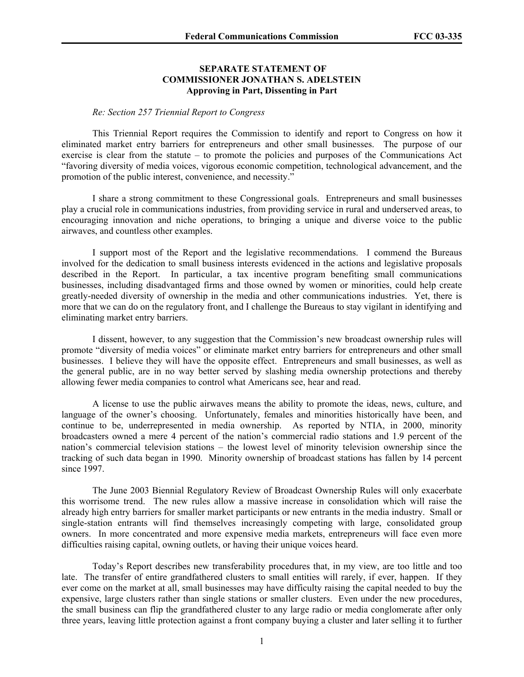## **SEPARATE STATEMENT OF COMMISSIONER JONATHAN S. ADELSTEIN Approving in Part, Dissenting in Part**

## *Re: Section 257 Triennial Report to Congress*

This Triennial Report requires the Commission to identify and report to Congress on how it eliminated market entry barriers for entrepreneurs and other small businesses. The purpose of our exercise is clear from the statute – to promote the policies and purposes of the Communications Act "favoring diversity of media voices, vigorous economic competition, technological advancement, and the promotion of the public interest, convenience, and necessity."

I share a strong commitment to these Congressional goals. Entrepreneurs and small businesses play a crucial role in communications industries, from providing service in rural and underserved areas, to encouraging innovation and niche operations, to bringing a unique and diverse voice to the public airwaves, and countless other examples.

 I support most of the Report and the legislative recommendations. I commend the Bureaus involved for the dedication to small business interests evidenced in the actions and legislative proposals described in the Report. In particular, a tax incentive program benefiting small communications businesses, including disadvantaged firms and those owned by women or minorities, could help create greatly-needed diversity of ownership in the media and other communications industries. Yet, there is more that we can do on the regulatory front, and I challenge the Bureaus to stay vigilant in identifying and eliminating market entry barriers.

 I dissent, however, to any suggestion that the Commission's new broadcast ownership rules will promote "diversity of media voices" or eliminate market entry barriers for entrepreneurs and other small businesses. I believe they will have the opposite effect. Entrepreneurs and small businesses, as well as the general public, are in no way better served by slashing media ownership protections and thereby allowing fewer media companies to control what Americans see, hear and read.

A license to use the public airwaves means the ability to promote the ideas, news, culture, and language of the owner's choosing. Unfortunately, females and minorities historically have been, and continue to be, underrepresented in media ownership. As reported by NTIA, in 2000, minority broadcasters owned a mere 4 percent of the nation's commercial radio stations and 1.9 percent of the nation's commercial television stations – the lowest level of minority television ownership since the tracking of such data began in 1990. Minority ownership of broadcast stations has fallen by 14 percent since 1997.

The June 2003 Biennial Regulatory Review of Broadcast Ownership Rules will only exacerbate this worrisome trend. The new rules allow a massive increase in consolidation which will raise the already high entry barriers for smaller market participants or new entrants in the media industry. Small or single-station entrants will find themselves increasingly competing with large, consolidated group owners. In more concentrated and more expensive media markets, entrepreneurs will face even more difficulties raising capital, owning outlets, or having their unique voices heard.

Today's Report describes new transferability procedures that, in my view, are too little and too late. The transfer of entire grandfathered clusters to small entities will rarely, if ever, happen. If they ever come on the market at all, small businesses may have difficulty raising the capital needed to buy the expensive, large clusters rather than single stations or smaller clusters. Even under the new procedures, the small business can flip the grandfathered cluster to any large radio or media conglomerate after only three years, leaving little protection against a front company buying a cluster and later selling it to further